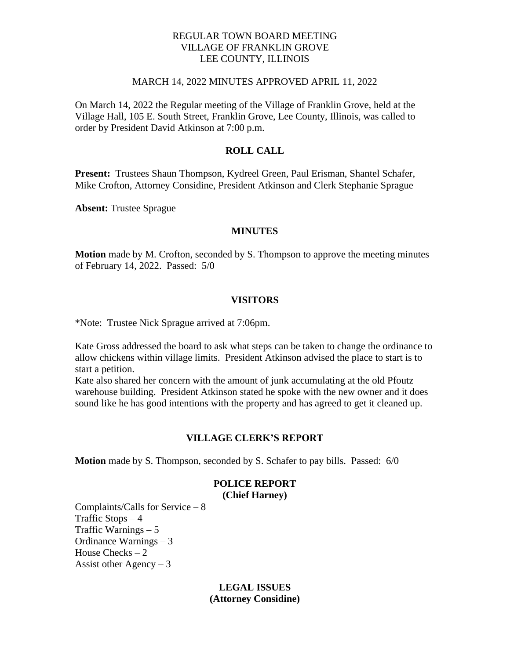#### REGULAR TOWN BOARD MEETING VILLAGE OF FRANKLIN GROVE LEE COUNTY, ILLINOIS

#### MARCH 14, 2022 MINUTES APPROVED APRIL 11, 2022

On March 14, 2022 the Regular meeting of the Village of Franklin Grove, held at the Village Hall, 105 E. South Street, Franklin Grove, Lee County, Illinois, was called to order by President David Atkinson at 7:00 p.m.

### **ROLL CALL**

**Present:** Trustees Shaun Thompson, Kydreel Green, Paul Erisman, Shantel Schafer, Mike Crofton, Attorney Considine, President Atkinson and Clerk Stephanie Sprague

**Absent:** Trustee Sprague

#### **MINUTES**

**Motion** made by M. Crofton, seconded by S. Thompson to approve the meeting minutes of February 14, 2022. Passed: 5/0

#### **VISITORS**

\*Note: Trustee Nick Sprague arrived at 7:06pm.

Kate Gross addressed the board to ask what steps can be taken to change the ordinance to allow chickens within village limits. President Atkinson advised the place to start is to start a petition.

Kate also shared her concern with the amount of junk accumulating at the old Pfoutz warehouse building. President Atkinson stated he spoke with the new owner and it does sound like he has good intentions with the property and has agreed to get it cleaned up.

#### **VILLAGE CLERK'S REPORT**

**Motion** made by S. Thompson, seconded by S. Schafer to pay bills. Passed: 6/0

# **POLICE REPORT**

**(Chief Harney)**

Complaints/Calls for Service – 8 Traffic Stops  $-4$ Traffic Warnings – 5 Ordinance Warnings – 3 House Checks – 2 Assist other Agency  $-3$ 

> **LEGAL ISSUES (Attorney Considine)**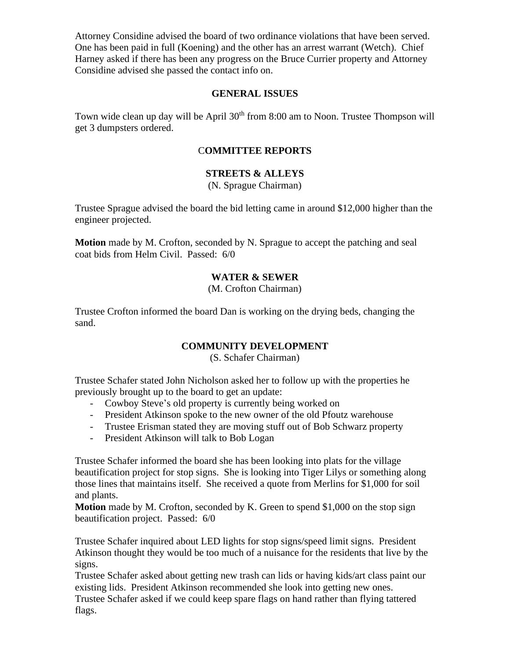Attorney Considine advised the board of two ordinance violations that have been served. One has been paid in full (Koening) and the other has an arrest warrant (Wetch). Chief Harney asked if there has been any progress on the Bruce Currier property and Attorney Considine advised she passed the contact info on.

#### **GENERAL ISSUES**

Town wide clean up day will be April 30<sup>th</sup> from 8:00 am to Noon. Trustee Thompson will get 3 dumpsters ordered.

## C**OMMITTEE REPORTS**

## **STREETS & ALLEYS**

(N. Sprague Chairman)

Trustee Sprague advised the board the bid letting came in around \$12,000 higher than the engineer projected.

**Motion** made by M. Crofton, seconded by N. Sprague to accept the patching and seal coat bids from Helm Civil. Passed: 6/0

## **WATER & SEWER**

(M. Crofton Chairman)

Trustee Crofton informed the board Dan is working on the drying beds, changing the sand.

## **COMMUNITY DEVELOPMENT**

(S. Schafer Chairman)

Trustee Schafer stated John Nicholson asked her to follow up with the properties he previously brought up to the board to get an update:

- Cowboy Steve's old property is currently being worked on
- President Atkinson spoke to the new owner of the old Pfoutz warehouse
- Trustee Erisman stated they are moving stuff out of Bob Schwarz property
- President Atkinson will talk to Bob Logan

Trustee Schafer informed the board she has been looking into plats for the village beautification project for stop signs. She is looking into Tiger Lilys or something along those lines that maintains itself. She received a quote from Merlins for \$1,000 for soil and plants.

**Motion** made by M. Crofton, seconded by K. Green to spend \$1,000 on the stop sign beautification project. Passed: 6/0

Trustee Schafer inquired about LED lights for stop signs/speed limit signs. President Atkinson thought they would be too much of a nuisance for the residents that live by the signs.

Trustee Schafer asked about getting new trash can lids or having kids/art class paint our existing lids. President Atkinson recommended she look into getting new ones. Trustee Schafer asked if we could keep spare flags on hand rather than flying tattered flags.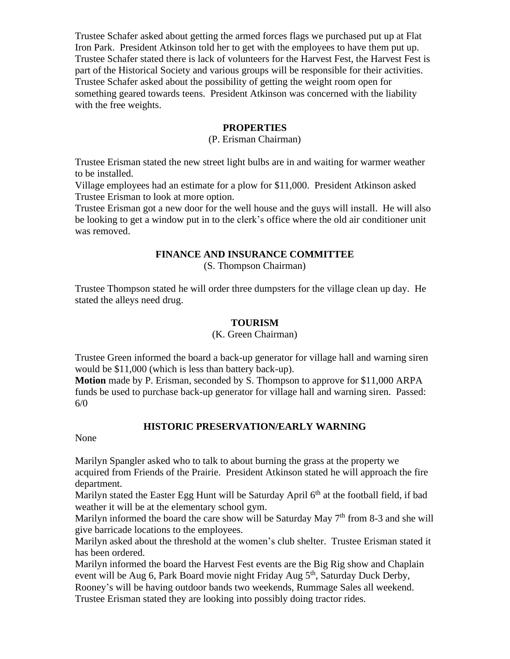Trustee Schafer asked about getting the armed forces flags we purchased put up at Flat Iron Park. President Atkinson told her to get with the employees to have them put up. Trustee Schafer stated there is lack of volunteers for the Harvest Fest, the Harvest Fest is part of the Historical Society and various groups will be responsible for their activities. Trustee Schafer asked about the possibility of getting the weight room open for something geared towards teens. President Atkinson was concerned with the liability with the free weights.

### **PROPERTIES**

(P. Erisman Chairman)

Trustee Erisman stated the new street light bulbs are in and waiting for warmer weather to be installed.

Village employees had an estimate for a plow for \$11,000. President Atkinson asked Trustee Erisman to look at more option.

Trustee Erisman got a new door for the well house and the guys will install. He will also be looking to get a window put in to the clerk's office where the old air conditioner unit was removed.

## **FINANCE AND INSURANCE COMMITTEE**

(S. Thompson Chairman)

Trustee Thompson stated he will order three dumpsters for the village clean up day. He stated the alleys need drug.

### **TOURISM**

### (K. Green Chairman)

Trustee Green informed the board a back-up generator for village hall and warning siren would be \$11,000 (which is less than battery back-up).

**Motion** made by P. Erisman, seconded by S. Thompson to approve for \$11,000 ARPA funds be used to purchase back-up generator for village hall and warning siren. Passed: 6/0

## **HISTORIC PRESERVATION/EARLY WARNING**

None

Marilyn Spangler asked who to talk to about burning the grass at the property we acquired from Friends of the Prairie. President Atkinson stated he will approach the fire department.

Marilyn stated the Easter Egg Hunt will be Saturday April  $6<sup>th</sup>$  at the football field, if bad weather it will be at the elementary school gym.

Marilyn informed the board the care show will be Saturday May  $7<sup>th</sup>$  from 8-3 and she will give barricade locations to the employees.

Marilyn asked about the threshold at the women's club shelter. Trustee Erisman stated it has been ordered.

Marilyn informed the board the Harvest Fest events are the Big Rig show and Chaplain event will be Aug 6, Park Board movie night Friday Aug  $5<sup>th</sup>$ , Saturday Duck Derby, Rooney's will be having outdoor bands two weekends, Rummage Sales all weekend.

Trustee Erisman stated they are looking into possibly doing tractor rides.